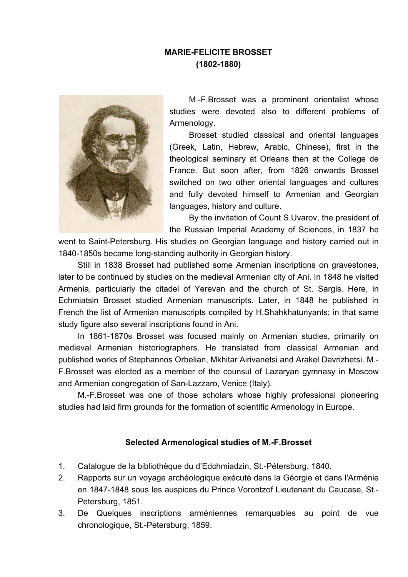## **MARIE-FELICITE BROSSET (1802-1880)**



M.-F.Brosset was a prominent orientalist whose studies were devoted also to different problems of Armenology.

Brosset studied classical and oriental languages (Greek, Latin, Hebrew, Arabic, Chinese), first in the theological seminary at Orleans then at the College de France. But soon after, from 1826 onwards Brosset switched on two other oriental languages and cultures and fully devoted himself to Armenian and Georgian languages, history and culture.

By the invitation of Count S.Uvarov, the president of the Russian Imperial Academy of Sciences, in 1837 he

went to Saint-Petersburg. His studies on Georgian language and history carried out in 1840-1850s became long-standing authority in Georgian history.

Still in 1838 Brosset had published some Armenian inscriptions on gravestones, later to be continued by studies on the medieval Armenian city of Ani. In 1848 he visited Armenia, particularly the citadel of Yerevan and the church of St. Sargis. Here, in Echmiatsin Brosset studied Armenian manuscripts. Later, in 1848 he published in French the list of Armenian manuscripts compiled by H.Shahkhatunyants; in that same study figure also several inscriptions found in Ani.

In 1861-1870s Brosset was focused mainly on Armenian studies, primarily on medieval Armenian historiographers. He translated from classical Armenian and published works of Stephannos Orbelian, Mkhitar Airivanetsi and Arakel Davrizhetsi. M.- F.Brosset was elected as a member of the counsul of Lazaryan gymnasy in Moscow and Armenian congregation of San-Lazzaro, Venice (Italy).

M.-F.Brosset was one of those scholars whose highly professional pioneering studies had laid firm grounds for the formation of scientific Armenology in Europe.

## **Selected Armenological studies of M.-F.Brosset**

- 1. Catalogue de la bibliothèque du d'Edchmiadzin, St.-Pétersburg, 1840.
- 2. Rapports sur un voyage archéologique exécuté dans la Géorgie et dans l'Arménie en 1847-1848 sous les auspices du Prince Vorontzof Lieutenant du Caucase, St.- Petersburg, 1851.
- 3. De Quelques inscriptions arméniennes remarquables au point de vue chronologique, St.-Petersburg, 1859.